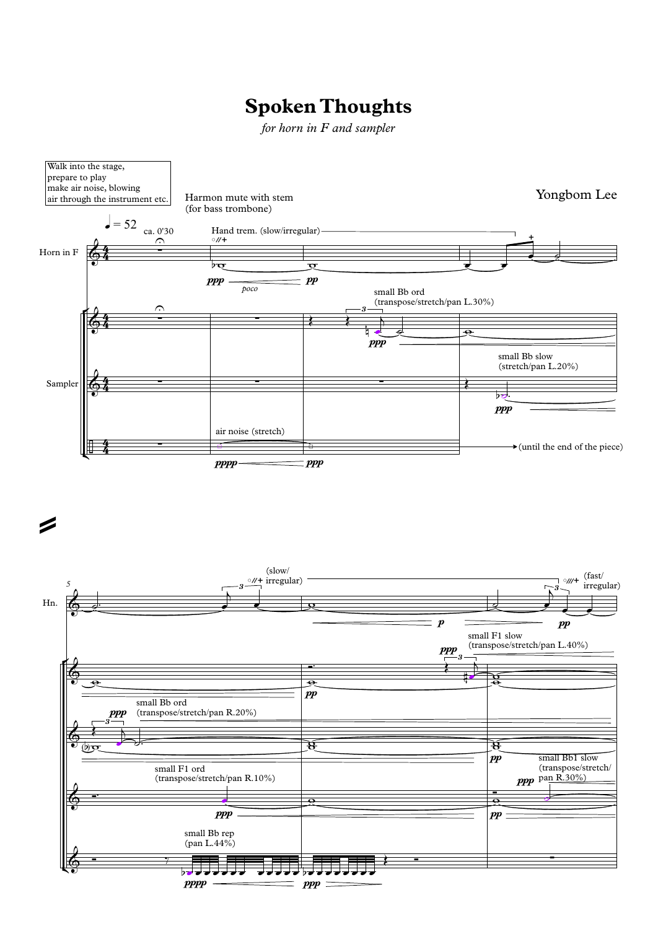## **Spoken Thoughts**

*for horn in F and sampler*

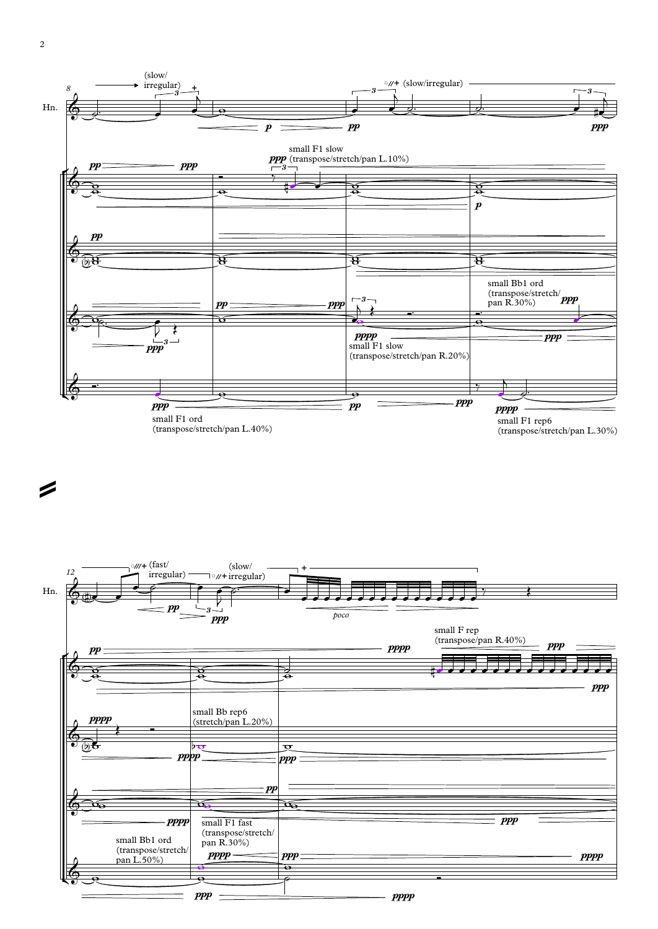2

 $\mathbb{R}$   $_{\odot}$ 

 $\phi$   $\circ$ 

 $\frac{1}{\sqrt{2}}$ 

small Bb1 ord

 $($ transpose/stretch $/$ |  $\frac{1}{4}$ pan L.50%)

ppp

 $pppp$  ppp

 $\frac{m}{\Theta}$ 

pan R.30%)

 $\frac{1}{e}$  $\frac{1}{\sqrt{2}}$ 

- **pppp** 

<u>。</u>

pppp

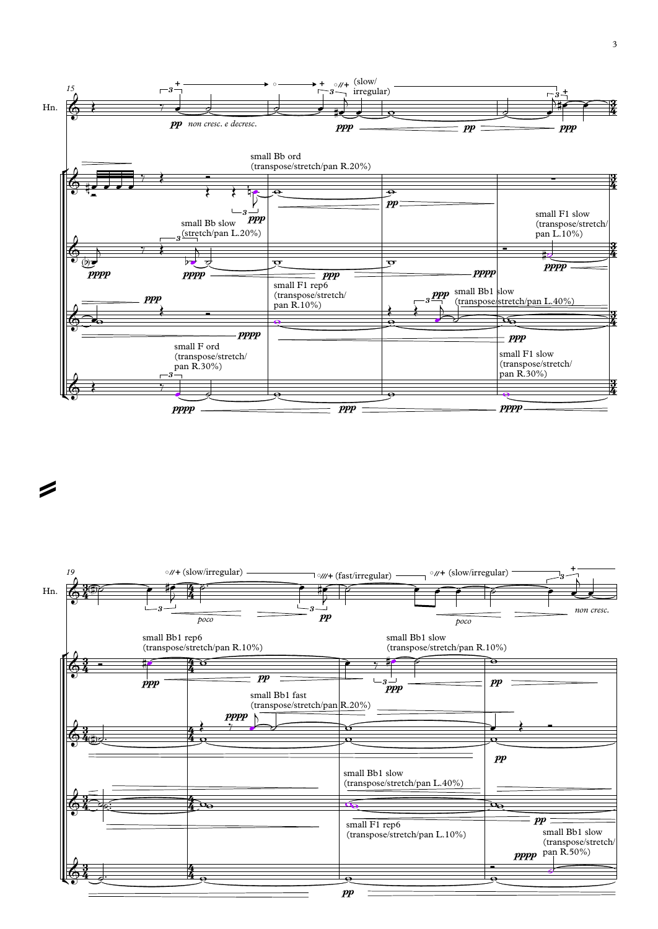



 $\mathbb{Z}$  and the set of  $\mathbb{Z}$